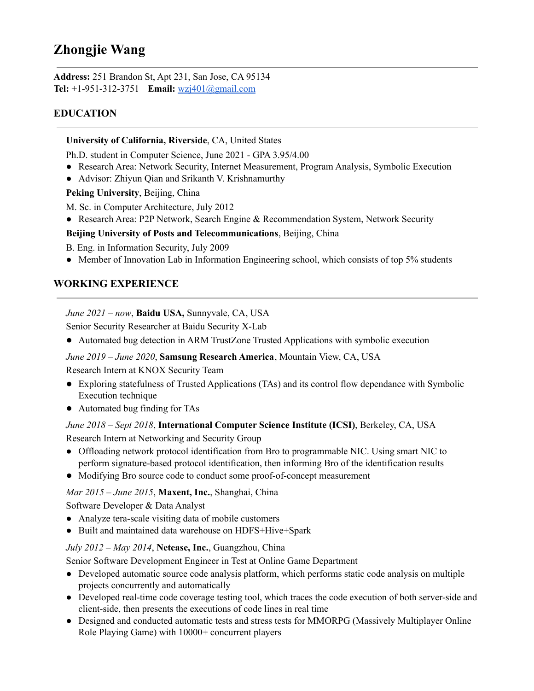# **Zhongjie Wang**

**Address:** 251 Brandon St, Apt 231, San Jose, CA 95134 **Tel:** +1-951-312-3751 **Email:** [wzj401@gmail.com](mailto:wzj401@gmail.com)

# **EDUCATION**

#### **University of California, Riverside**, CA, United States

Ph.D. student in Computer Science, June 2021 - GPA 3.95/4.00

- Research Area: Network Security, Internet Measurement, Program Analysis, Symbolic Execution
- Advisor: Zhiyun Qian and Srikanth V. Krishnamurthy

**Peking University**, Beijing, China

M. Sc. in Computer Architecture, July 2012

● Research Area: P2P Network, Search Engine & Recommendation System, Network Security

#### **Beijing University of Posts and Telecommunications**, Beijing, China

B. Eng. in Information Security, July 2009

• Member of Innovation Lab in Information Engineering school, which consists of top 5% students

## **WORKING EXPERIENCE**

*June 2021 – now*, **Baidu USA,** Sunnyvale, CA, USA

Senior Security Researcher at Baidu Security X-Lab

● Automated bug detection in ARM TrustZone Trusted Applications with symbolic execution

#### *June 2019 – June 2020*, **Samsung Research America**, Mountain View, CA, USA

Research Intern at KNOX Security Team

- Exploring statefulness of Trusted Applications (TAs) and its control flow dependance with Symbolic Execution technique
- Automated bug finding for TAs

#### *June 2018 – Sept 2018*, **International Computer Science Institute (ICSI)**, Berkeley, CA, USA

Research Intern at Networking and Security Group

- **●** Offloading network protocol identification from Bro to programmable NIC. Using smart NIC to perform signature-based protocol identification, then informing Bro of the identification results
- Modifying Bro source code to conduct some proof-of-concept measurement

*Mar 2015 – June 2015*, **Maxent, Inc.**, Shanghai, China

Software Developer & Data Analyst

- **●** Analyze tera-scale visiting data of mobile customers
- **●** Built and maintained data warehouse on HDFS+Hive+Spark

#### *July 2012 – May 2014*, **Netease, Inc.**, Guangzhou, China

Senior Software Development Engineer in Test at Online Game Department

- Developed automatic source code analysis platform, which performs static code analysis on multiple projects concurrently and automatically
- Developed real-time code coverage testing tool, which traces the code execution of both server-side and client-side, then presents the executions of code lines in real time
- **●** Designed and conducted automatic tests and stress tests for MMORPG (Massively Multiplayer Online Role Playing Game) with 10000+ concurrent players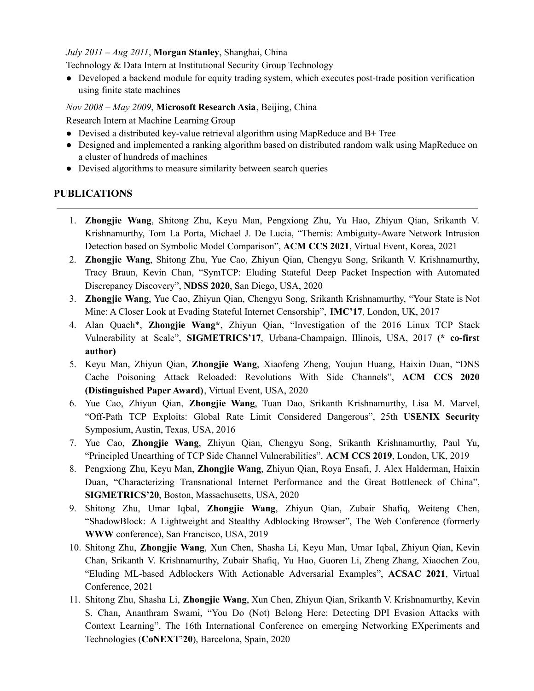#### *July 2011 – Aug 2011*, **Morgan Stanley**, Shanghai, China

Technology & Data Intern at Institutional Security Group Technology

**●** Developed a backend module for equity trading system, which executes post-trade position verification using finite state machines

#### *Nov 2008 – May 2009*, **Microsoft Research Asia**, Beijing, China

Research Intern at Machine Learning Group

- Devised a distributed key-value retrieval algorithm using MapReduce and B+ Tree
- Designed and implemented a ranking algorithm based on distributed random walk using MapReduce on a cluster of hundreds of machines
- *●* Devised algorithms to measure similarity between search queries

### **PUBLICATIONS**

- 1. **Zhongjie Wang**, Shitong Zhu, Keyu Man, Pengxiong Zhu, Yu Hao, Zhiyun Qian, Srikanth V. Krishnamurthy, Tom La Porta, Michael J. De Lucia, "Themis: Ambiguity-Aware Network Intrusion Detection based on Symbolic Model Comparison", **ACM CCS 2021**, Virtual Event, Korea, 2021
- 2. **Zhongjie Wang**, Shitong Zhu, Yue Cao, Zhiyun Qian, Chengyu Song, Srikanth V. Krishnamurthy, Tracy Braun, Kevin Chan, "SymTCP: Eluding Stateful Deep Packet Inspection with Automated Discrepancy Discovery", **NDSS 2020**, San Diego, USA, 2020
- 3. **Zhongjie Wang**, Yue Cao, Zhiyun Qian, Chengyu Song, Srikanth Krishnamurthy, "Your State is Not Mine: A Closer Look at Evading Stateful Internet Censorship", **IMC'17**, London, UK, 2017
- 4. Alan Quach\*, **Zhongjie Wang\***, Zhiyun Qian, "Investigation of the 2016 Linux TCP Stack Vulnerability at Scale", **SIGMETRICS'17**, Urbana-Champaign, Illinois, USA, 2017 **(\* co-first author)**
- 5. Keyu Man, Zhiyun Qian, **Zhongjie Wang**, Xiaofeng Zheng, Youjun Huang, Haixin Duan, "DNS Cache Poisoning Attack Reloaded: Revolutions With Side Channels", **ACM CCS 2020 (Distinguished Paper Award)**, Virtual Event, USA, 2020
- 6. Yue Cao, Zhiyun Qian, **Zhongjie Wang**, Tuan Dao, Srikanth Krishnamurthy, Lisa M. Marvel, "Off-Path TCP Exploits: Global Rate Limit Considered Dangerous", 25th **USENIX Security** Symposium, Austin, Texas, USA, 2016
- 7. Yue Cao, **Zhongjie Wang**, Zhiyun Qian, Chengyu Song, Srikanth Krishnamurthy, Paul Yu, "Principled Unearthing of TCP Side Channel Vulnerabilities", **ACM CCS 2019**, London, UK, 2019
- 8. Pengxiong Zhu, Keyu Man, **Zhongjie Wang**, Zhiyun Qian, Roya Ensafi, J. Alex Halderman, Haixin Duan, "Characterizing Transnational Internet Performance and the Great Bottleneck of China", **SIGMETRICS'20**, Boston, Massachusetts, USA, 2020
- 9. Shitong Zhu, Umar Iqbal, **Zhongjie Wang**, Zhiyun Qian, Zubair Shafiq, Weiteng Chen, "ShadowBlock: A Lightweight and Stealthy Adblocking Browser", The Web Conference (formerly **WWW** conference), San Francisco, USA, 2019
- 10. Shitong Zhu, **Zhongjie Wang**, Xun Chen, Shasha Li, Keyu Man, Umar Iqbal, Zhiyun Qian, Kevin Chan, Srikanth V. Krishnamurthy, Zubair Shafiq, Yu Hao, Guoren Li, Zheng Zhang, Xiaochen Zou, "Eluding ML-based Adblockers With Actionable Adversarial Examples", **ACSAC 2021**, Virtual Conference, 2021
- 11. Shitong Zhu, Shasha Li, **Zhongjie Wang**, Xun Chen, Zhiyun Qian, Srikanth V. Krishnamurthy, Kevin S. Chan, Ananthram Swami, "You Do (Not) Belong Here: Detecting DPI Evasion Attacks with Context Learning", The 16th International Conference on emerging Networking EXperiments and Technologies (**CoNEXT'20**), Barcelona, Spain, 2020